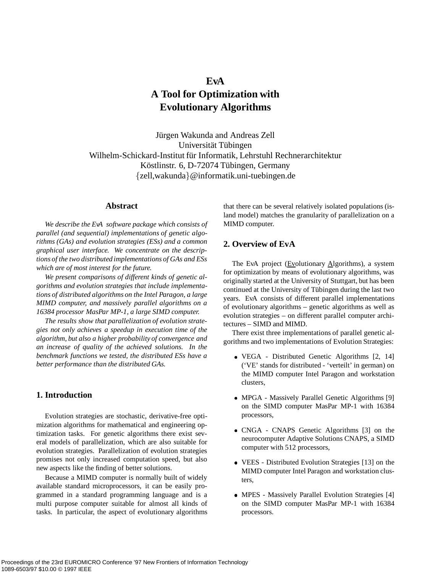# **EvA A Tool for Optimization with Evolutionary Algorithms**

Jürgen Wakunda and Andreas Zell Universität Tübingen Wilhelm-Schickard-Institut für Informatik, Lehrstuhl Rechnerarchitektur Köstlinstr. 6, D-72074 Tübingen, Germany  ${zell, wakunda} @ informatik.$ uni-tuebingen.de

#### **Abstract**

*We describe the EvA software package which consists of parallel (and sequential) implementations of genetic algorithms (GAs) and evolution strategies (ESs) and a common graphical user interface. We concentrate on the descriptions of the two distributed implementations of GAs and ESs which are of most interest for the future.*

*We present comparisons of different kinds of genetic algorithms and evolution strategies that include implementations of distributed algorithms on the Intel Paragon, a large MIMD computer, and massively parallel algorithms on a 16384 processor MasPar MP-1, a large SIMD computer.*

*The results show that parallelization of evolution strategies not only achieves a speedup in execution time of the algorithm, but also a higher probability of convergence and an increase of quality of the achieved solutions. In the benchmark functions we tested, the distributed ESs have a better performance than the distributed GAs.*

# **1. Introduction**

Evolution strategies are stochastic, derivative-free optimization algorithms for mathematical and engineering optimization tasks. For genetic algorithms there exist several models of parallelization, which are also suitable for evolution strategies. Parallelization of evolution strategies promises not only increased computation speed, but also new aspects like the finding of better solutions.

Because a MIMD computer is normally built of widely available standard microprocessors, it can be easily programmed in a standard programming language and is a multi purpose computer suitable for almost all kinds of tasks. In particular, the aspect of evolutionary algorithms that there can be several relatively isolated populations (island model) matches the granularity of parallelization on a MIMD computer.

# **2. Overview of EvA**

The EvA project (Evolutionary Algorithms), a system for optimization by means of evolutionary algorithms, was originally started at the University of Stuttgart, but has been continued at the University of Tübingen during the last two years. EvA consists of different parallel implementations of evolutionary algorithms – genetic algorithms as well as evolution strategies – on different parallel computer architectures – SIMD and MIMD.

There exist three implementations of parallel genetic algorithms and two implementations of Evolution Strategies:

- VEGA Distributed Genetic Algorithms [2, 14] ('VE' stands for distributed - 'verteilt' in german) on the MIMD computer Intel Paragon and workstation clusters,
- MPGA Massively Parallel Genetic Algorithms [9] on the SIMD computer MasPar MP-1 with 16384 processors,
- CNGA CNAPS Genetic Algorithms [3] on the neurocomputer Adaptive Solutions CNAPS, a SIMD computer with 512 processors,
- VEES Distributed Evolution Strategies [13] on the MIMD computer Intel Paragon and workstation clusters,
- MPES Massively Parallel Evolution Strategies [4] on the SIMD computer MasPar MP-1 with 16384 processors.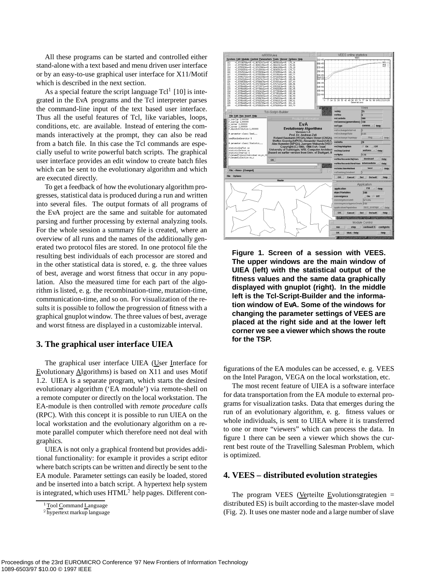All these programs can be started and controlled either stand-alone with a text based and menu driven user interface or by an easy-to-use graphical user interface for X11/Motif which is described in the next section.

As a special feature the script language  $Tcl<sup>1</sup>$  [10] is integrated in the EvA programs and the Tcl interpreter parses the command-line input of the text based user interface. Thus all the useful features of Tcl, like variables, loops, conditions, etc. are available. Instead of entering the commands interactively at the prompt, they can also be read from a batch file. In this case the Tcl commands are especially useful to write powerful batch scripts. The graphical user interface provides an edit window to create batch files which can be sent to the evolutionary algorithm and which are executed directly.

To get a feedback of how the evolutionary algorithm progresses, statistical data is produced during a run and written into several files. The output formats of all programs of the EvA project are the same and suitable for automated parsing and further processing by external analyzing tools. For the whole session a summary file is created, where an overview of all runs and the names of the additionally generated two protocol files are stored. In one protocol file the resulting best individuals of each processor are stored and in the other statistical data is stored, e. g. the three values of best, average and worst fitness that occur in any population. Also the measured time for each part of the algorithm is listed, e. g. the recombination-time, mutation-time, communication-time, and so on. For visualization of the results it is possible to follow the progression of fitness with a graphical gnuplot window. The three values of best, average and worst fitness are displayed in a customizable interval.

#### **3. The graphical user interface UIEA**

The graphical user interface UIEA (User Interface for Evolutionary Algorithms) is based on X11 and uses Motif 1.2. UIEA is a separate program, which starts the desired evolutionary algorithm ('EA module') via remote-shell on a remote computer or directly on the local workstation. The EA-module is then controlled with *remote procedure calls* (RPC). With this concept it is possible to run UIEA on the local workstation and the evolutionary algorithm on a remote parallel computer which therefore need not deal with graphics.

UIEA is not only a graphical frontend but provides additional functionality: for example it provides a script editor where batch scripts can be written and directly be sent to the EA module. Parameter settings can easily be loaded, stored and be inserted into a batch script. A hypertext help system is integrated, which uses  $HTML<sup>2</sup>$  help pages. Different con-



**Figure 1. Screen of a session with VEES. The upper windows are the main window of UIEA (left) with the statistical output of the fitness values and the same data graphically displayed with gnuplot (right). In the middle left is the Tcl-Script-Builder and the information window of EvA. Some of the windows for changing the parameter settings of VEES are placed at the right side and at the lower left corner we see a viewer which shows the route for the TSP.**

figurations of the EA modules can be accessed, e. g. VEES on the Intel Paragon, VEGA on the local workstation, etc.

The most recent feature of UIEA is a software interface for data transportation from the EA module to external programs for visualization tasks. Data that emerges during the run of an evolutionary algorithm, e. g. fitness values or whole individuals, is sent to UIEA where it is transferred to one or more "viewers" which can process the data. In figure 1 there can be seen a viewer which shows the current best route of the Travelling Salesman Problem, which is optimized.

## **4. VEES – distributed evolution strategies**

The program VEES (Verteilte Evolutions strategien  $=$ distributed ES) is built according to the master-slave model (Fig. 2). It uses one master node and a large number of slave

<sup>&</sup>lt;sup>1</sup> Tool Command Language

<sup>2</sup> hypertext markup language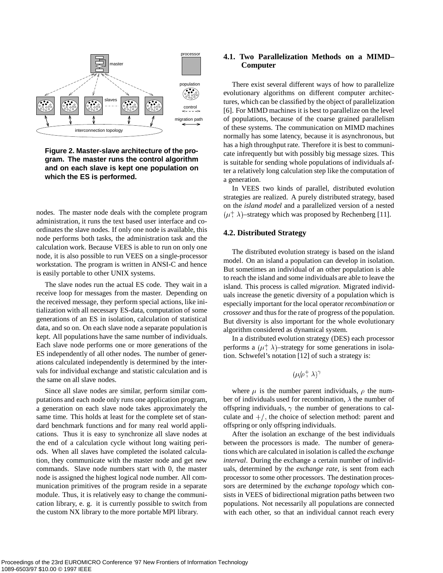

**Figure 2. Master-slave architecture of the program. The master runs the control algorithm and on each slave is kept one population on which the ES is performed.**

nodes. The master node deals with the complete program administration, it runs the text based user interface and coordinates the slave nodes. If only one node is available, this node performs both tasks, the administration task and the calculation work. Because VEES is able to run on only one node, it is also possible to run VEES on a single-processor workstation. The program is written in ANSI-C and hence is easily portable to other UNIX systems.

The slave nodes run the actual ES code. They wait in a receive loop for messages from the master. Depending on the received message, they perform special actions, like initialization with all necessary ES-data, computation of some generations of an ES in isolation, calculation of statistical data, and so on. On each slave node a separate population is kept. All populations have the same number of individuals. Each slave node performs one or more generations of the ES independently of all other nodes. The number of generations calculated independently is determined by the intervals for individual exchange and statistic calculation and is the same on all slave nodes.

Since all slave nodes are similar, perform similar computations and each node only runs one application program, a generation on each slave node takes approximately the same time. This holds at least for the complete set of standard benchmark functions and for many real world applications. Thus it is easy to synchronize all slave nodes at the end of a calculation cycle without long waiting periods. When all slaves have completed the isolated calculation, they communicate with the master node and get new commands. Slave node numbers start with 0, the master node is assigned the highest logical node number. All communication primitives of the program reside in a separate module. Thus, it is relatively easy to change the communication library, e. g. it is currently possible to switch from the custom NX library to the more portable MPI library.

## **4.1. Two Parallelization Methods on a MIMD– Computer**

There exist several different ways of how to parallelize evolutionary algorithms on different computer architectures, which can be classified by the object of parallelization [6]. For MIMD machines it is best to parallelize on the level of populations, because of the coarse grained parallelism of these systems. The communication on MIMD machines normally has some latency, because it is asynchronous, but has a high throughput rate. Therefore it is best to communicate infrequently but with possibly big message sizes. This is suitable for sending whole populations of individuals after a relatively long calculation step like the computation of a generation.

In VEES two kinds of parallel, distributed evolution strategies are realized. A purely distributed strategy, based on the *island model* and a parallelized version of a nested  $(\mu^+, \lambda)$ -strategy which was proposed by Rechenberg [11].

#### **4.2. Distributed Strategy**

The distributed evolution strategy is based on the island model. On an island a population can develop in isolation. But sometimes an individual of an other population is able to reach the island and some individuals are able to leave the island. This process is called *migration*. Migrated individuals increase the genetic diversity of a population which is especially important for the local operator*recombination* or *crossover* and thus for the rate of progress of the population. But diversity is also important for the whole evolutionary algorithm considered as dynamical system.

In a distributed evolution strategy (DES) each processor performs a  $(\mu^+, \lambda)$ -strategy for some generations in isolation. Schwefel's notation [12] of such a strategy is:

$$
(\mu/\rho^+,\lambda)^\gamma
$$

where  $\mu$  is the number parent individuals,  $\rho$  the number of individuals used for recombination,  $\lambda$  the number of offspring individuals,  $\gamma$  the number of generations to calculate and  $+$ , the choice of selection method: parent and offspring or only offspring individuals.

After the isolation an exchange of the best individuals between the processors is made. The number of generations which are calculated in isolation is called the *exchange interval*. During the exchange a certain number of individuals, determined by the *exchange rate*, is sent from each processor to some other processors. The destination processors are determined by the *exchange topology* which consists in VEES of bidirectional migration paths between two populations. Not necessarily all populations are connected with each other, so that an individual cannot reach every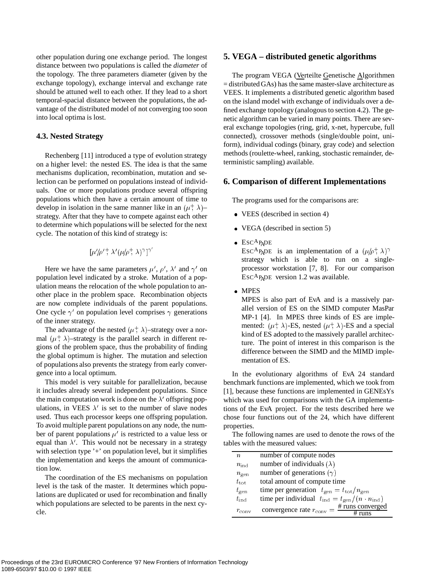other population during one exchange period. The longest distance between two populations is called the *diameter* of the topology. The three parameters diameter (given by the exchange topology), exchange interval and exchange rate should be attuned well to each other. If they lead to a short temporal-spacial distance between the populations, the advantage of the distributed model of not converging too soon into local optima is lost.

## **4.3. Nested Strategy**

Rechenberg [11] introduced a type of evolution strategy on a higher level: the nested ES. The idea is that the same mechanisms duplication, recombination, mutation and selection can be performed on populations instead of individuals. One or more populations produce several offspring populations which then have a certain amount of time to develop in isolation in the same manner like in an  $(\mu^+, \lambda)$ strategy. After that they have to compete against each other to determine which populations will be selected for the next cycle. The notation of this kind of strategy is:

$$
[\mu'/\rho'^+,\,\lambda'(\mu/\rho^+,\,\lambda)^\gamma]^{\gamma'}
$$

Here we have the same parameters  $\mu'$ ,  $\rho'$ ,  $\lambda'$  and  $\gamma'$  on population level indicated by a stroke. Mutation of a population means the relocation of the whole population to another place in the problem space. Recombination objects are now complete individuals of the parent populations. One cycle  $\gamma'$  on population level comprises  $\gamma$  generations of the inner strategy.

The advantage of the nested  $(\mu^+, \lambda)$ -strategy over a normal  $(\mu^+ \lambda)$ -strategy is the parallel search in different regions of the problem space, thus the probability of finding the global optimum is higher. The mutation and selection of populations also prevents the strategy from early convergence into a local optimum.

This model is very suitable for parallelization, because it includes already several independent populations. Since the main computation work is done on the  $\lambda'$  offspring populations, in VEES  $\lambda'$  is set to the number of slave nodes used. Thus each processor keeps one offspring population. To avoid multiple parent populations on any node, the number of parent populations  $\mu'$  is restricted to a value less or equal than  $\lambda'$ . This would not be necessary in a strategy with selection type  $\dot{+}$  on population level, but it simplifies the implementation and keeps the amount of communication low.

The coordination of the ES mechanisms on population level is the task of the master. It determines which populations are duplicated or used for recombination and finally which populations are selected to be parents in the next cycle.

# **5. VEGA – distributed genetic algorithms**

The program VEGA (Verteilte Genetische Algorithmen = distributed GAs) has the same master-slave architecture as VEES. It implements a distributed genetic algorithm based on the island model with exchange of individuals over a defined exchange topology (analogous to section 4.2). The genetic algorithm can be varied in many points. There are several exchange topologies (ring, grid, x-net, hypercube, full connected), crossover methods (single/double point, uniform), individual codings (binary, gray code) and selection methods (roulette-wheel, ranking, stochastic remainder, deterministic sampling) available.

# **6. Comparison of different Implementations**

The programs used for the comparisons are:

- VEES (described in section 4)
- VEGA (described in section 5)
- $\bullet$  Esc<sup>A</sup>P<sub>A</sub>DE

ESC<sup>A</sup>P<sub>A</sub>DE is an implementation of a  $(\mu/\rho^+,\lambda)$ <sup> $\gamma$ </sup> strategy which is able to run on a singleprocessor workstation [7, 8]. For our comparison ESCAP<sub>A</sub>DE version 1.2 was available.

• MPES

MPES is also part of EvA and is a massively parallel version of ES on the SIMD computer MasPar MP-1 [4]. In MPES three kinds of ES are implemented:  $(\mu^+, \lambda)$ -ES, nested  $(\mu^+, \lambda)$ -ES and a special kind of ES adopted to the massively parallel architecture. The point of interest in this comparison is the difference between the SIMD and the MIMD implementation of ES.

In the evolutionary algorithms of EvA 24 standard benchmark functions are implemented, which we took from [1], because these functions are implemented in GENEsYs which was used for comparisons with the GA implementations of the EvA project. For the tests described here we chose four functions out of the 24, which have different properties.

The following names are used to denote the rows of the tables with the measured values:

| $\, n$           | number of compute nodes                                                        |
|------------------|--------------------------------------------------------------------------------|
| $n_{\text{ind}}$ | number of individuals $(\lambda)$                                              |
| $n_{\rm gen}$    | number of generations ( $\gamma$ )                                             |
| $t_{\rm tot}$    | total amount of compute time                                                   |
| $t_{\rm gen}$    | time per generation $t_{\text{gen}} = t_{\text{tot}}/n_{\text{gen}}$           |
| $t_{\rm ind}$    | time per individual $t_{\text{ind}} = t_{\text{gen}}/(n \cdot n_{\text{ind}})$ |
| $r_{\rm conv}$   | # runs converged<br>convergence rate $r_{\rm conv}$ =                          |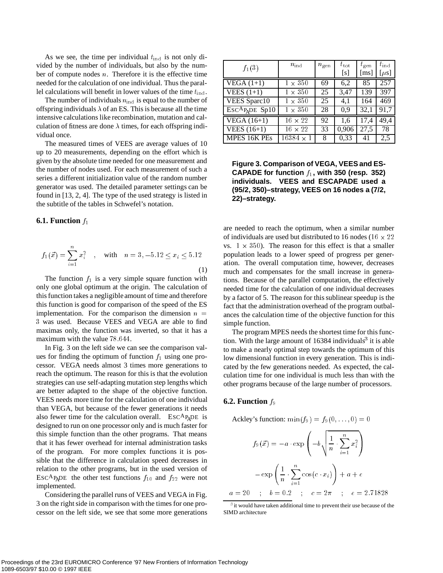As we see, the time per individual  $t_{\text{ind}}$  is not only divided by the number of individuals, but also by the number of compute nodes  $n$ . Therefore it is the effective time needed for the calculation of one individual. Thus the parallel calculations will benefit in lower values of the time  $t_{\text{ind}}$ .

The number of individuals  $n_{\text{ind}}$  is equal to the number of offspring individuals  $\lambda$  of an ES. This is because all the time intensive calculations like recombination, mutation and calculation of fitness are done  $\lambda$  times, for each offspring individual once.

The measured times of VEES are average values of 10 up to 20 measurements, depending on the effort which is given by the absolute time needed for one measurement and the number of nodes used. For each measurement of such a series a different initialization value of the random number generator was used. The detailed parameter settings can be found in [13, 2, 4]. The type of the used strategy is listed in the subtitle of the tables in Schwefel's notation.

#### **6.1. Function**  $f_1$

$$
f_1(\vec{x}) = \sum_{i=1}^{n} x_i^2 \quad , \quad \text{with} \quad n = 3, -5.12 \le x_i \le 5.12 \tag{1}
$$

The function  $f_1$  is a very simple square function with only one global optimum at the origin. The calculation of this function takes a negligible amount of time and therefore this function is good for comparison of the speed of the ES implementation. For the comparison the dimension  $n =$ <sup>3</sup> was used. Because VEES and VEGA are able to find maximas only, the function was inverted, so that it has a maximum with the value 78.644.

In Fig. 3 on the left side we can see the comparison values for finding the optimum of function  $f_1$  using one processor. VEGA needs almost 3 times more generations to reach the optimum. The reason for this is that the evolution strategies can use self-adapting mutation step lengths which are better adapted to the shape of the objective function. VEES needs more time for the calculation of one individual than VEGA, but because of the fewer generations it needs also fewer time for the calculation overall. ESCAP<sub>A</sub>DE is designed to run on one processor only and is much faster for this simple function than the other programs. That means that it has fewer overhead for internal administration tasks of the program. For more complex functions it is possible that the difference in calculation speed decreases in relation to the other programs, but in the used version of ESCAP<sub>A</sub>DE the other test functions  $f_{10}$  and  $f_{22}$  were not implemented.

Considering the parallel runs of VEES and VEGA in Fig. 3 on the right side in comparison with the times for one processor on the left side, we see that some more generations

| $f_1(3)$                                | $n_{\text{ind}}$ | $n_{\rm gen}$ | $t_{\rm tot}$ | $t_{\rm gen}$      | $t_{\rm ind}$ |
|-----------------------------------------|------------------|---------------|---------------|--------------------|---------------|
|                                         |                  |               | [s]           | $\lceil ms \rceil$ | $[\mu s]$     |
| $\overline{\text{VEGA}}(1+1)$           | $1 \times 350$   | 69            | 6,2           | 85                 | 257           |
| VEES $(1+1)$                            | $1 \times 350$   | 25            | 3,47          | 139                | 397           |
| VEES Sparc10                            | $1 \times 350$   | 25            | 4,1           | 164                | 469           |
| ESC <sup>A</sup> P <sub>A</sub> DE Sp10 | $1 \times 350$   | 28            | 0,9           | 32,1               | 91,7          |
| VEGA $(16+1)$                           | $16 \times 22$   | 92            | 1.6           | 17,4               | 49,4          |
| <b>VEES</b> $(16+1)$                    | $16 \times 22$   | 33            | 0,906         | 27,5               | 78            |
| MPES 16K PEs                            | $16384 \times 1$ | 8             | 0,33          | 41                 | 2,5           |

**Figure 3. Comparison of VEGA, VEES and ES-CAPADE for function**  $f_1$ , with 350 (resp. 352) **individuals. VEES and ESCAPADE used a (95/2, 350)–strategy, VEES on 16 nodes a (7/2, 22)–strategy.**

are needed to reach the optimum, when a similar number of individuals are used but distributed to 16 nodes ( $16 \times 22$ vs.  $1 \times 350$ ). The reason for this effect is that a smaller population leads to a lower speed of progress per generation. The overall computation time, however, decreases much and compensates for the small increase in generations. Because of the parallel computation, the effectively needed time for the calculation of one individual decreases by a factor of 5. The reason for this sublinear speedup is the fact that the administration overhead of the program outbalances the calculation time of the objective function for this simple function.

The program MPES needs the shortest time for this function. With the large amount of  $16384$  individuals<sup>3</sup> it is able to make a nearly optimal step towards the optimum of this low dimensional function in every generation. This is indicated by the few generations needed. As expected, the calculation time for one individual is much less than with the other programs because of the large number of processors.

## **6.2. Function**  $f_9$

Ackley's function:  $\min(f_9) = f_9(0, \ldots, 0) = 0$ 

$$
f_9(\vec{x}) = -a \cdot \exp\left(-b\sqrt{\frac{1}{n} \cdot \sum_{i=1}^n x_i^2}\right)
$$

$$
-\exp\left(\frac{1}{n} \cdot \sum_{i=1}^n \cos(c \cdot x_i)\right) + a + e
$$

$$
a = 20 \quad ; \quad b = 0.2 \quad ; \quad c = 2\pi \quad ; \quad e = 2.71828
$$

<sup>3</sup> it would have taken additional time to prevent their use because of the SIMD architecture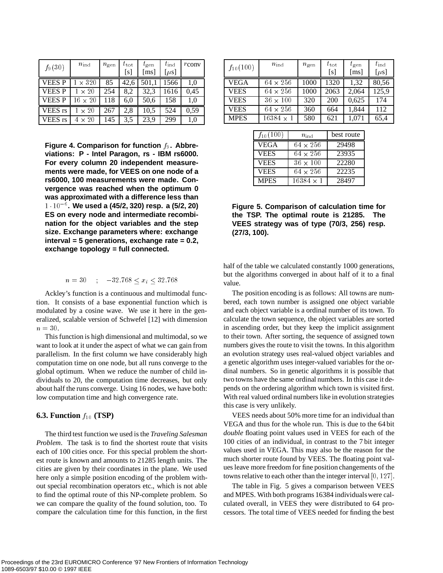| $f_9(30)$          | $n_{\text{ind}}$ | $n_{\rm gen}$ | $t_{\rm tot}$<br>[s] | $t_{\rm gen}$<br>$\lceil ms \rceil$ | $t_{\rm ind}$<br>$[\mu s]$ | $r_{\rm conv}$ |
|--------------------|------------------|---------------|----------------------|-------------------------------------|----------------------------|----------------|
| <b>VEESP</b>       | $1 \times 320$   | 85            | 42,6                 | 501,1                               | 1566                       | 1.0            |
| <b>VEESP</b>       | $1 \times 20$    | 254           | 8,2                  | 32,3                                | 1616                       | 0,45           |
| <b>VEESP</b>       | $16 \times 20$   | 118           | 6,0                  | 50.6                                | 158                        | 1.0            |
| VEES <sub>rs</sub> | $1 \times 20$    | 267           | 2,8                  | 10,5                                | 524                        | 0,59           |
| VEES rs            | $4 \times 20$    | 145           | 3,5                  | 23,9                                | 299                        | 1.0            |

Figure 4. Comparison for function  $f_9$ . Abbre**viations: P - Intel Paragon, rs - IBM rs6000. For every column 20 independent measurements were made, for VEES on one node of a rs6000, 100 measurements were made. Convergence was reached when the optimum 0 was approximated with a difference less than** <sup>1</sup> 10<sup>6</sup> **. We used a (45/2, 320) resp. a (5/2, 20) ES on every node and intermediate recombination for the object variables and the step size. Exchange parameters where: exchange interval = 5 generations, exchange rate = 0.2, exchange topology = full connected.**

# $n = 30$  ;  $-32.768 \le x_i \le 32.768$

Ackley's function is a continuous and multimodal function. It consists of a base exponential function which is modulated by a cosine wave. We use it here in the generalized, scalable version of Schwefel [12] with dimension  $n = 30$ .

This function is high dimensional and multimodal, so we want to look at it under the aspect of what we can gain from parallelism. In the first column we have considerably high computation time on one node, but all runs converge to the global optimum. When we reduce the number of child individuals to 20, the computation time decreases, but only about half the runs converge. Using 16 nodes, we have both: low computation time and high convergence rate.

#### **6.3. Function**  $f_{10}$  (**TSP**)

The third test function we used is the *Traveling Salesman Problem*. The task is to find the shortest route that visits each of 100 cities once. For this special problem the shortest route is known and amounts to 21285 length units. The cities are given by their coordinates in the plane. We used here only a simple position encoding of the problem without special recombination operators etc., which is not able to find the optimal route of this NP-complete problem. So we can compare the quality of the found solution, too. To compare the calculation time for this function, in the first

| $f_{10}(100)$ | $n_{\text{ind}}$ | $n_{\rm gen}$ | $t_{\rm tot}$<br>[s] | $t_{\rm gen}$<br>$\lceil ms \rceil$ | $t_{\rm ind}$<br>$[\mu s]$ |
|---------------|------------------|---------------|----------------------|-------------------------------------|----------------------------|
| <b>VEGA</b>   | $64 \times 256$  | 1000          | 1320                 | 1,32                                | 80,56                      |
| <b>VEES</b>   | $64 \times 256$  | 1000          | 2063                 | 2,064                               | 125,9                      |
| <b>VEES</b>   | $36 \times 100$  | 320           | 200                  | 0,625                               | 174                        |
| <b>VEES</b>   | $64 \times 256$  | 360           | 664                  | 1,844                               | 112                        |
| <b>MPES</b>   | $16384 \times 1$ | 580           | 621                  | 1,071                               | 65,4                       |

| $f_{10}(100)$ | $n_{ind}$        | best route |
|---------------|------------------|------------|
| <b>VEGA</b>   | $64 \times 256$  | 29498      |
| <b>VEES</b>   | $64 \times 256$  | 23935      |
| <b>VEES</b>   | $36 \times 100$  | 22280      |
| <b>VEES</b>   | $64 \times 256$  | 22235      |
| <b>MPES</b>   | $16384 \times 1$ | 28497      |

**Figure 5. Comparison of calculation time for the TSP. The optimal route is 21285. The VEES strategy was of type (70/3, 256) resp. (27/3, 100).**

half of the table we calculated constantly 1000 generations, but the algorithms converged in about half of it to a final value.

The position encoding is as follows: All towns are numbered, each town number is assigned one object variable and each object variable is a ordinal number of its town. To calculate the town sequence, the object variables are sorted in ascending order, but they keep the implicit assignment to their town. After sorting, the sequence of assigned town numbers gives the route to visit the towns. In this algorithm an evolution strategy uses real-valued object variables and a genetic algorithm uses integer-valued variables for the ordinal numbers. So in genetic algorithms it is possible that two towns have the same ordinal numbers. In this case it depends on the ordering algorithm which town is visited first. With real valued ordinal numbers like in evolution strategies this case is very unlikely.

VEES needs about 50% more time for an individual than VEGA and thus for the whole run. This is due to the 64 bit *double* floating point values used in VEES for each of the 100 cities of an individual, in contrast to the 7 bit integer values used in VEGA. This may also be the reason for the much shorter route found by VEES. The floating point values leave more freedom for fine position changements of the towns relative to each other than the integer interval  $[0, 127]$ .

The table in Fig. 5 gives a comparison between VEES and MPES. With both programs 16384 individualswere calculated overall, in VEES they were distributed to 64 processors. The total time of VEES needed for finding the best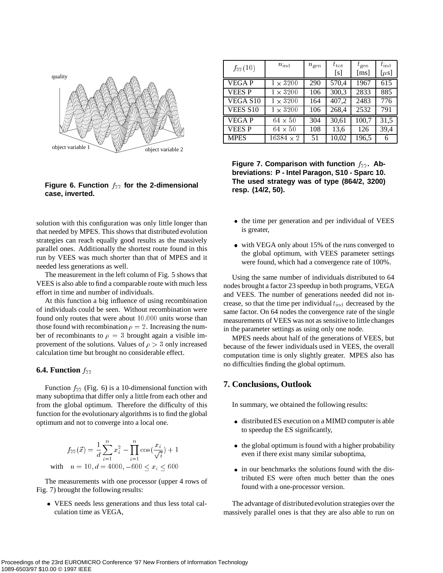

Figure 6. Function  $f_{22}$  for the 2-dimensional **case, inverted.**

solution with this configuration was only little longer than that needed by MPES. This shows that distributed evolution strategies can reach equally good results as the massively parallel ones. Additionally the shortest route found in this run by VEES was much shorter than that of MPES and it needed less generations as well.

The measurement in the left column of Fig. 5 shows that VEES is also able to find a comparable route with much less effort in time and number of individuals.

At this function a big influence of using recombination of individuals could be seen. Without recombination were found only routes that were about 10:000 units worse than those found with recombination  $\rho = 2$ . Increasing the number of recombinants to  $\rho = 3$  brought again a visible improvement of the solutions. Values of  $\rho > 3$  only increased calculation time but brought no considerable effect.

#### **6.4. Function**  $f_{22}$

Function  $f_{22}$  (Fig. 6) is a 10-dimensional function with many suboptima that differ only a little from each other and from the global optimum. Therefore the difficulty of this function for the evolutionary algorithms is to find the global optimum and not to converge into a local one.

$$
f_{22}(\vec{x}) = \frac{1}{d} \sum_{i=1}^{n} x_i^2 - \prod_{i=1}^{n} \cos(\frac{x_i}{\sqrt{i}}) + 1
$$
  
with  $n = 10, d = 4000, -600 \le x_i \le 600$ 

The measurements with one processor (upper 4 rows of Fig. 7) brought the following results:

 VEES needs less generations and thus less total calculation time as VEGA,

| $f_{22}(10)$ | $n_{\text{ind}}$ | $n_{\rm gen}$ | $t_{\rm tot}$      | $t_{\rm gen}$      | $t_{\rm ind}$ |
|--------------|------------------|---------------|--------------------|--------------------|---------------|
|              |                  |               | [s]                | $\lceil ms \rceil$ | $[\mu s]$     |
| <b>VEGAP</b> | $1 \times 3200$  | 290           | 570,4              | 1967               | 615           |
| <b>VEESP</b> | $1 \times 3200$  | 106           | $\overline{300,3}$ | 2833               | 885           |
| VEGA S10     | $1 \times 3200$  | 164           | 407,2              | 2483               | 776           |
| VEES S10     | $1 \times 3200$  | 106           | 268,4              | 2532               | 791           |
| <b>VEGAP</b> | $64 \times 50$   | 304           | 30,61              | 100,7              | 31,5          |
| <b>VEESP</b> | $64 \times 50$   | 108           | 13,6               | 126                | 39,4          |
| <b>MPES</b>  | $16384 \times 2$ | 51            | 10,02              | 196,5              | 6             |

Figure 7. Comparison with function  $f_{22}$ . Ab**breviations: P - Intel Paragon, S10 - Sparc 10. The used strategy was of type (864/2, 3200) resp. (14/2, 50).**

- the time per generation and per individual of VEES is greater,
- with VEGA only about 15% of the runs converged to the global optimum, with VEES parameter settings were found, which had a convergence rate of 100%.

Using the same number of individuals distributed to 64 nodes brought a factor 23 speedup in both programs, VEGA and VEES. The number of generations needed did not increase, so that the time per individual  $t_{ind}$  decreased by the same factor. On 64 nodes the convergence rate of the single measurements of VEES was not as sensitive to little changes in the parameter settings as using only one node.

MPES needs about half of the generations of VEES, but because of the fewer individuals used in VEES, the overall computation time is only slightly greater. MPES also has no difficulties finding the global optimum.

# **7. Conclusions, Outlook**

In summary, we obtained the following results:

- distributedES execution on a MIMD computer is able to speedup the ES significantly,
- the global optimum is found with a higher probability even if there exist many similar suboptima,
- in our benchmarks the solutions found with the distributed ES were often much better than the ones found with a one-processor version.

The advantage of distributedevolution strategies over the massively parallel ones is that they are also able to run on